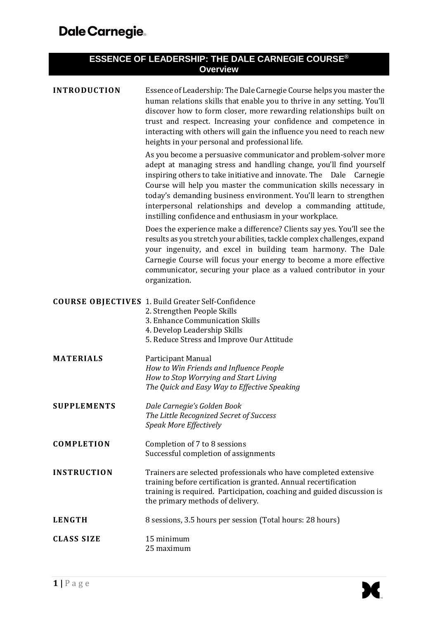| ESSENCE OF LEADERSHIP: THE DALE CARNEGIE COURSE®<br><b>Overview</b> |                                                                                                                                                                                                                                                                                                                                                                                                                                                                                      |  |  |
|---------------------------------------------------------------------|--------------------------------------------------------------------------------------------------------------------------------------------------------------------------------------------------------------------------------------------------------------------------------------------------------------------------------------------------------------------------------------------------------------------------------------------------------------------------------------|--|--|
| <b>INTRODUCTION</b>                                                 | Essence of Leadership: The Dale Carnegie Course helps you master the<br>human relations skills that enable you to thrive in any setting. You'll<br>discover how to form closer, more rewarding relationships built on<br>trust and respect. Increasing your confidence and competence in<br>interacting with others will gain the influence you need to reach new<br>heights in your personal and professional life.                                                                 |  |  |
|                                                                     | As you become a persuasive communicator and problem-solver more<br>adept at managing stress and handling change, you'll find yourself<br>inspiring others to take initiative and innovate. The Dale Carnegie<br>Course will help you master the communication skills necessary in<br>today's demanding business environment. You'll learn to strengthen<br>interpersonal relationships and develop a commanding attitude,<br>instilling confidence and enthusiasm in your workplace. |  |  |
|                                                                     | Does the experience make a difference? Clients say yes. You'll see the<br>results as you stretch your abilities, tackle complex challenges, expand<br>your ingenuity, and excel in building team harmony. The Dale<br>Carnegie Course will focus your energy to become a more effective<br>communicator, securing your place as a valued contributor in your<br>organization.                                                                                                        |  |  |
|                                                                     | <b>COURSE OBJECTIVES</b> 1. Build Greater Self-Confidence<br>2. Strengthen People Skills<br>3. Enhance Communication Skills<br>4. Develop Leadership Skills<br>5. Reduce Stress and Improve Our Attitude                                                                                                                                                                                                                                                                             |  |  |
| <b>MATERIALS</b>                                                    | Participant Manual<br>How to Win Friends and Influence People<br>How to Stop Worrying and Start Living<br>The Quick and Easy Way to Effective Speaking                                                                                                                                                                                                                                                                                                                               |  |  |
| <b>SUPPLEMENTS</b>                                                  | Dale Carnegie's Golden Book<br>The Little Recognized Secret of Success<br>Speak More Effectively                                                                                                                                                                                                                                                                                                                                                                                     |  |  |
| <b>COMPLETION</b>                                                   | Completion of 7 to 8 sessions<br>Successful completion of assignments                                                                                                                                                                                                                                                                                                                                                                                                                |  |  |
| <b>INSTRUCTION</b>                                                  | Trainers are selected professionals who have completed extensive<br>training before certification is granted. Annual recertification<br>training is required. Participation, coaching and guided discussion is<br>the primary methods of delivery.                                                                                                                                                                                                                                   |  |  |
| <b>LENGTH</b>                                                       | 8 sessions, 3.5 hours per session (Total hours: 28 hours)                                                                                                                                                                                                                                                                                                                                                                                                                            |  |  |
| <b>CLASS SIZE</b>                                                   | 15 minimum<br>25 maximum                                                                                                                                                                                                                                                                                                                                                                                                                                                             |  |  |

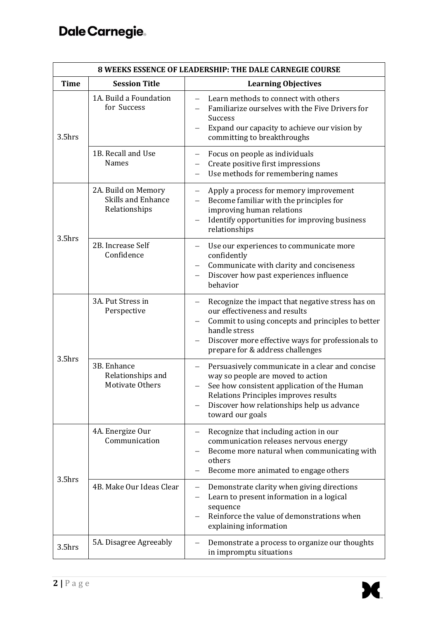| 8 WEEKS ESSENCE OF LEADERSHIP: THE DALE CARNEGIE COURSE |                                                                   |                                                                                                                                                                                                                                                                       |  |
|---------------------------------------------------------|-------------------------------------------------------------------|-----------------------------------------------------------------------------------------------------------------------------------------------------------------------------------------------------------------------------------------------------------------------|--|
| <b>Time</b>                                             | <b>Session Title</b>                                              | <b>Learning Objectives</b>                                                                                                                                                                                                                                            |  |
| 3.5hrs                                                  | 1A. Build a Foundation<br>for Success                             | Learn methods to connect with others<br>Familiarize ourselves with the Five Drivers for<br><b>Success</b><br>Expand our capacity to achieve our vision by<br>committing to breakthroughs                                                                              |  |
|                                                         | 1B. Recall and Use<br><b>Names</b>                                | Focus on people as individuals<br>—<br>Create positive first impressions<br>Use methods for remembering names                                                                                                                                                         |  |
| 3.5hrs                                                  | 2A. Build on Memory<br><b>Skills and Enhance</b><br>Relationships | Apply a process for memory improvement<br>—<br>Become familiar with the principles for<br>improving human relations<br>Identify opportunities for improving business<br>relationships                                                                                 |  |
|                                                         | 2B. Increase Self<br>Confidence                                   | Use our experiences to communicate more<br>confidently<br>Communicate with clarity and conciseness<br>Discover how past experiences influence<br>$\qquad \qquad -$<br>behavior                                                                                        |  |
| 3.5hrs                                                  | 3A. Put Stress in<br>Perspective                                  | Recognize the impact that negative stress has on<br>$\qquad \qquad -$<br>our effectiveness and results<br>Commit to using concepts and principles to better<br>handle stress<br>Discover more effective ways for professionals to<br>prepare for & address challenges |  |
|                                                         | 3B. Enhance<br>Relationships and<br><b>Motivate Others</b>        | Persuasively communicate in a clear and concise<br>way so people are moved to action<br>See how consistent application of the Human<br>Relations Principles improves results<br>Discover how relationships help us advance<br>toward our goals                        |  |
| 3.5hrs                                                  | 4A. Energize Our<br>Communication                                 | Recognize that including action in our<br>communication releases nervous energy<br>Become more natural when communicating with<br>others<br>Become more animated to engage others                                                                                     |  |
|                                                         | 4B. Make Our Ideas Clear                                          | Demonstrate clarity when giving directions<br>$\qquad \qquad$<br>Learn to present information in a logical<br>sequence<br>Reinforce the value of demonstrations when<br>explaining information                                                                        |  |
| 3.5hrs                                                  | 5A. Disagree Agreeably                                            | Demonstrate a process to organize our thoughts<br>in impromptu situations                                                                                                                                                                                             |  |